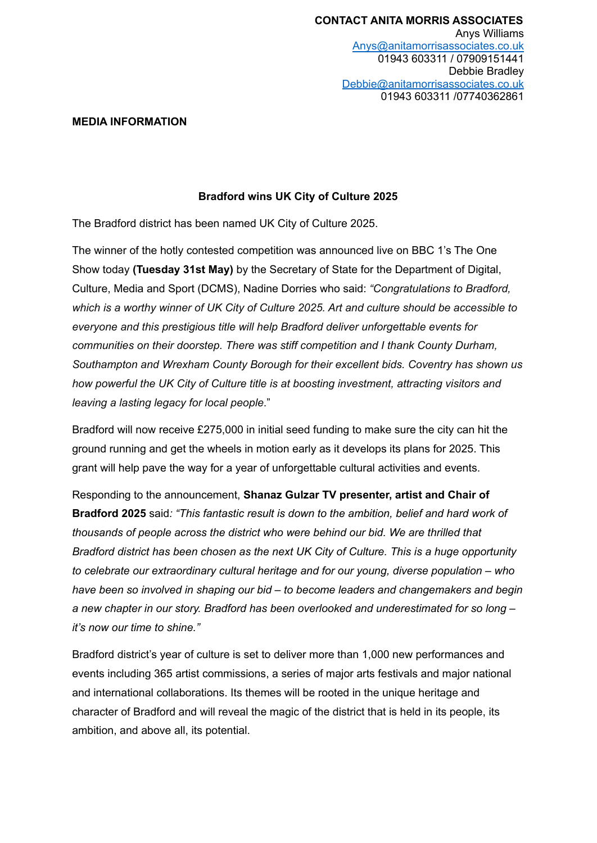#### **MEDIA INFORMATION**

## **Bradford wins UK City of Culture 2025**

The Bradford district has been named UK City of Culture 2025.

The winner of the hotly contested competition was announced live on BBC 1's The One Show today **(Tuesday 31st May)** by the Secretary of State for the Department of Digital, Culture, Media and Sport (DCMS), Nadine Dorries who said: *"Congratulations to Bradford, which is a worthy winner of UK City of Culture 2025. Art and culture should be accessible to everyone and this prestigious title will help Bradford deliver unforgettable events for communities on their doorstep. There was stiff competition and I thank County Durham, Southampton and Wrexham County Borough for their excellent bids. Coventry has shown us how powerful the UK City of Culture title is at boosting investment, attracting visitors and leaving a lasting legacy for local people*."

Bradford will now receive £275,000 in initial seed funding to make sure the city can hit the ground running and get the wheels in motion early as it develops its plans for 2025. This grant will help pave the way for a year of unforgettable cultural activities and events.

Responding to the announcement, **Shanaz Gulzar TV presenter, artist and Chair of Bradford 2025** said*: "This fantastic result is down to the ambition, belief and hard work of thousands of people across the district who were behind our bid. We are thrilled that Bradford district has been chosen as the next UK City of Culture. This is a huge opportunity to celebrate our extraordinary cultural heritage and for our young, diverse population – who have been so involved in shaping our bid – to become leaders and changemakers and begin a new chapter in our story. Bradford has been overlooked and underestimated for so long – it's now our time to shine."*

Bradford district's year of culture is set to deliver more than 1,000 new performances and events including 365 artist commissions, a series of major arts festivals and major national and international collaborations. Its themes will be rooted in the unique heritage and character of Bradford and will reveal the magic of the district that is held in its people, its ambition, and above all, its potential.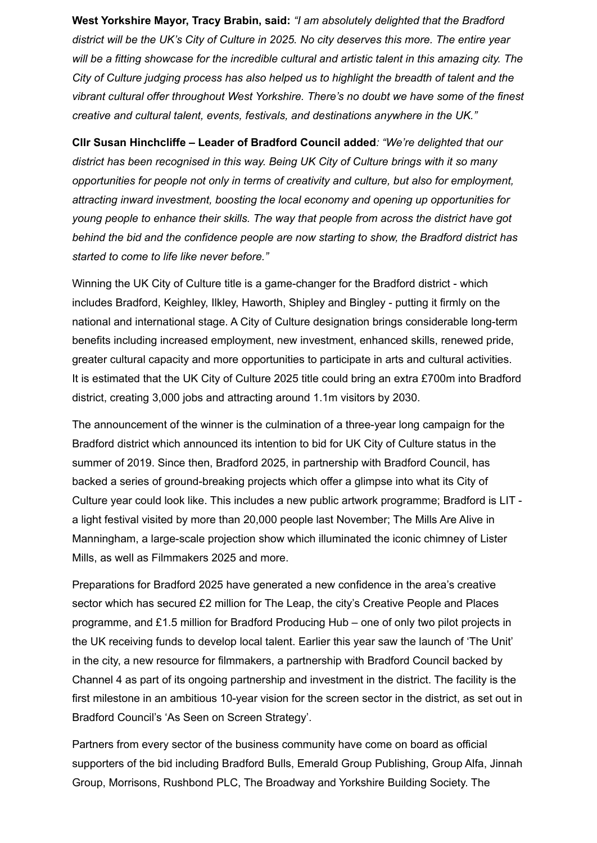**West Yorkshire Mayor, Tracy Brabin, said:** *"I am absolutely delighted that the Bradford district will be the UK's City of Culture in 2025. No city deserves this more. The entire year will be a fitting showcase for the incredible cultural and artistic talent in this amazing city. The City of Culture judging process has also helped us to highlight the breadth of talent and the vibrant cultural offer throughout West Yorkshire. There's no doubt we have some of the finest creative and cultural talent, events, festivals, and destinations anywhere in the UK."*

**Cllr Susan Hinchcliffe – Leader of Bradford Council added***: "We're delighted that our district has been recognised in this way. Being UK City of Culture brings with it so many opportunities for people not only in terms of creativity and culture, but also for employment, attracting inward investment, boosting the local economy and opening up opportunities for young people to enhance their skills. The way that people from across the district have got behind the bid and the confidence people are now starting to show, the Bradford district has started to come to life like never before."*

Winning the UK City of Culture title is a game-changer for the Bradford district - which includes Bradford, Keighley, Ilkley, Haworth, Shipley and Bingley - putting it firmly on the national and international stage. A City of Culture designation brings considerable long-term benefits including increased employment, new investment, enhanced skills, renewed pride, greater cultural capacity and more opportunities to participate in arts and cultural activities. It is estimated that the UK City of Culture 2025 title could bring an extra £700m into Bradford district, creating 3,000 jobs and attracting around 1.1m visitors by 2030.

The announcement of the winner is the culmination of a three-year long campaign for the Bradford district which announced its intention to bid for UK City of Culture status in the summer of 2019. Since then, Bradford 2025, in partnership with Bradford Council, has backed a series of ground-breaking projects which offer a glimpse into what its City of Culture year could look like. This includes a new public artwork programme; Bradford is LIT a light festival visited by more than 20,000 people last November; The Mills Are Alive in Manningham, a large-scale projection show which illuminated the iconic chimney of Lister Mills, as well as Filmmakers 2025 and more.

Preparations for Bradford 2025 have generated a new confidence in the area's creative sector which has secured £2 million for The Leap, the city's Creative People and Places programme, and £1.5 million for Bradford Producing Hub – one of only two pilot projects in the UK receiving funds to develop local talent. Earlier this year saw the launch of 'The Unit' in the city, a new resource for filmmakers, a partnership with Bradford Council backed by Channel 4 as part of its ongoing partnership and investment in the district. The facility is the first milestone in an ambitious 10-year vision for the screen sector in the district, as set out in Bradford Council's 'As Seen on Screen Strategy'.

Partners from every sector of the business community have come on board as official supporters of the bid including Bradford Bulls, Emerald Group Publishing, Group Alfa, Jinnah Group, Morrisons, Rushbond PLC, The Broadway and Yorkshire Building Society. The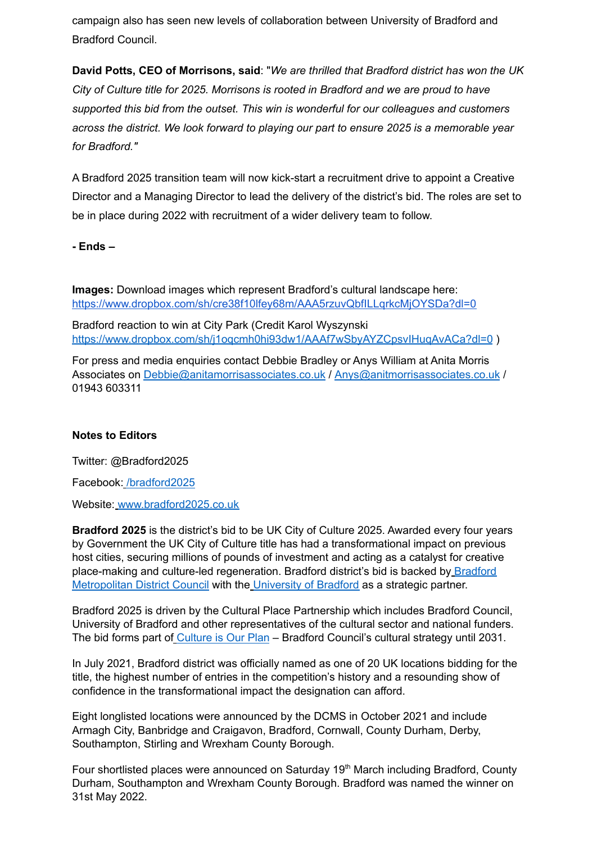campaign also has seen new levels of collaboration between University of Bradford and Bradford Council.

**David Potts, CEO of Morrisons, said**: "*We are thrilled that Bradford district has won the UK City of Culture title for 2025. Morrisons is rooted in Bradford and we are proud to have supported this bid from the outset. This win is wonderful for our colleagues and customers across the district. We look forward to playing our part to ensure 2025 is a memorable year for Bradford."*

A Bradford 2025 transition team will now kick-start a recruitment drive to appoint a Creative Director and a Managing Director to lead the delivery of the district's bid. The roles are set to be in place during 2022 with recruitment of a wider delivery team to follow.

## **- Ends –**

**Images:** Download images which represent Bradford's cultural landscape here: <https://www.dropbox.com/sh/cre38f10lfey68m/AAA5rzuvQbfILLqrkcMjOYSDa?dl=0>

Bradford reaction to win at City Park (Credit Karol Wyszynski <https://www.dropbox.com/sh/j1oqcmh0hi93dw1/AAAf7wSbyAYZCpsvIHuqAvACa?dl=0> )

For press and media enquiries contact Debbie Bradley or Anys William at Anita Morris Associates on [Debbie@anitamorrisassociates.co.uk](mailto:Debbie@anitamorrisassociates.co.uk) / [Anys@anitmorrisassociates.co.uk](mailto:Anys@anitmorrisassociates.co.uk) / 01943 603311

### **Notes to Editors**

Twitter: @Bradford2025

Facebook: [/bradford2025](http://facebook.com/bradford2025)

Website: [www.bradford2025.co.uk](https://eur03.safelinks.protection.outlook.com/?url=http%3A%2F%2Fwww.bradford2025.co.uk&data=02%7C01%7C%7Cbc3dc1b54e4a4e6ab18908d710cfc2aa%7C84df9e7fe9f640afb435aaaaaaaaaaaa%7C1%7C0%7C636996356812690536&sdata=m8dIFM3Hjkpy1IKz%2FBRLtfvUhHH2WOtggke8AASV7JQ%3D&reserved=0)

**Bradford 2025** is the district's bid to be UK City of Culture 2025. Awarded every four years by Government the UK City of Culture title has had a transformational impact on previous host cities, securing millions of pounds of investment and acting as a catalyst for creative place-making and culture-led regeneration. [Bradford](https://www.bradford.gov.uk/) district's bid is backed by Bradford [Metropolitan](https://www.bradford.gov.uk/) District Council with the [University](https://www.bradford.ac.uk/external/) of Bradford as a strategic partner.

Bradford 2025 is driven by the Cultural Place Partnership which includes Bradford Council, University of Bradford and other representatives of the cultural sector and national funders. The bid forms part of [Culture](https://www.cultureisourplan.co.uk/) is Our Plan – Bradford Council's cultural strategy until 2031.

In July 2021, Bradford district was officially named as one of 20 UK locations bidding for the title, the highest number of entries in the competition's history and a resounding show of confidence in the transformational impact the designation can afford.

Eight longlisted locations were announced by the DCMS in October 2021 and include Armagh City, Banbridge and Craigavon, Bradford, Cornwall, County Durham, Derby, Southampton, Stirling and Wrexham County Borough.

Four shortlisted places were announced on Saturday 19<sup>th</sup> March including Bradford, County Durham, Southampton and Wrexham County Borough. Bradford was named the winner on 31st May 2022.